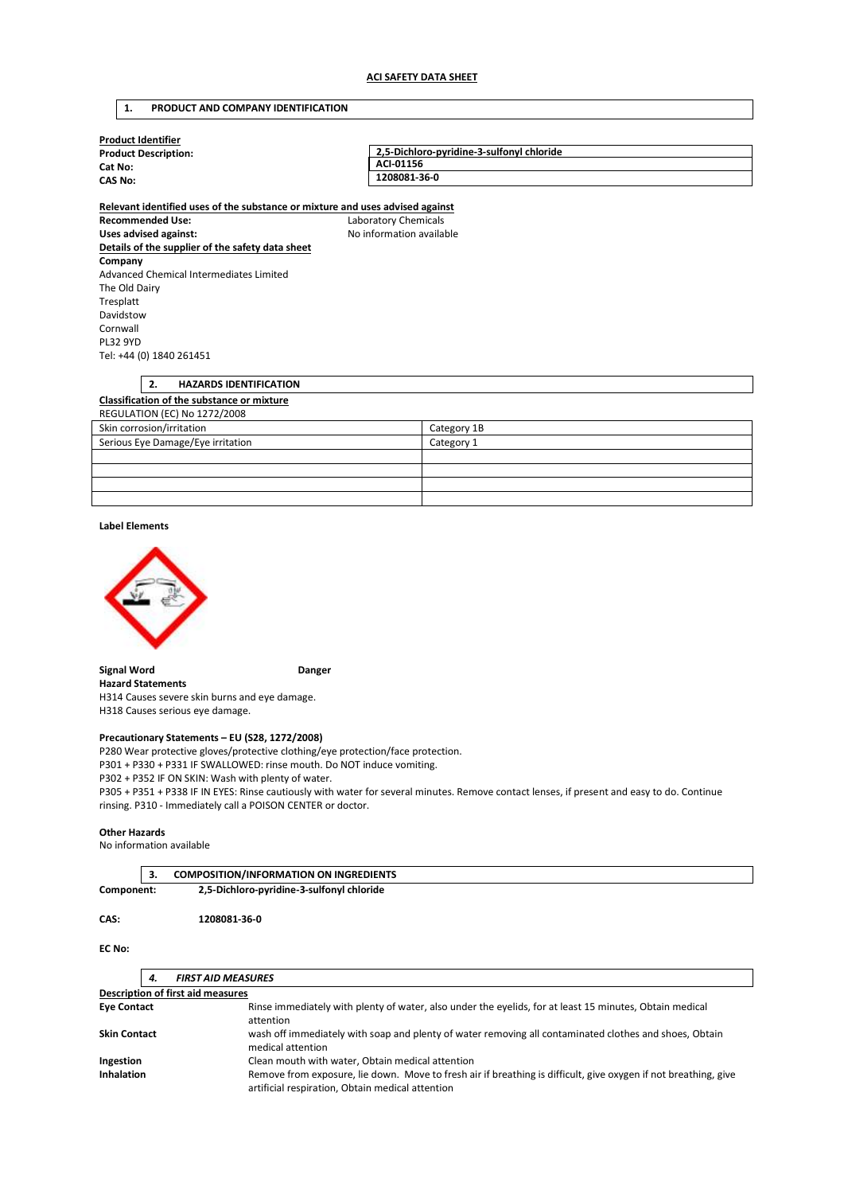| PRODUCT AND COMPANY IDENTIFICATION<br>1. |
|------------------------------------------|
|------------------------------------------|

| <b>Product Identifier</b><br><b>Product Description:</b>                      | 2,5-Dichloro-pyridine-3-sulfonyl chloride |  |
|-------------------------------------------------------------------------------|-------------------------------------------|--|
| Cat No:                                                                       | ACI-01156                                 |  |
| <b>CAS No:</b>                                                                | 1208081-36-0                              |  |
| Relevant identified uses of the substance or mixture and uses advised against |                                           |  |
| <b>Recommended Use:</b>                                                       | Laboratory Chemicals                      |  |
| Uses advised against:                                                         | No information available                  |  |
| Details of the supplier of the safety data sheet                              |                                           |  |
| Company                                                                       |                                           |  |
| Advanced Chemical Intermediates Limited                                       |                                           |  |
| The Old Dairy                                                                 |                                           |  |
| Tresplatt                                                                     |                                           |  |
| Davidstow                                                                     |                                           |  |
| Cornwall                                                                      |                                           |  |
| <b>PL32 9YD</b>                                                               |                                           |  |
| Tel: +44 (0) 1840 261451                                                      |                                           |  |
|                                                                               |                                           |  |
| 2.<br><b>HAZARDS IDENTIFICATION</b>                                           |                                           |  |
| Clossification of the substance or mixture                                    |                                           |  |

## **Classification of the substance or mixture**

| REGULATION (EC) No 1272/2008      |             |  |  |
|-----------------------------------|-------------|--|--|
| Skin corrosion/irritation         | Category 1B |  |  |
| Serious Eye Damage/Eye irritation | Category 1  |  |  |
|                                   |             |  |  |
|                                   |             |  |  |
|                                   |             |  |  |
|                                   |             |  |  |

#### **Label Elements**



**Signal Word Communist Communist Communist Communist Communist Communist Communist Communist Communist Communist Communist Communist Communist Communist Communist Communist Communist Communist Communist Communist Communist Hazard Statements**  H314 Causes severe skin burns and eye damage.

H318 Causes serious eye damage.

## **Precautionary Statements – EU (S28, 1272/2008)**

P280 Wear protective gloves/protective clothing/eye protection/face protection. P301 + P330 + P331 IF SWALLOWED: rinse mouth. Do NOT induce vomiting. P302 + P352 IF ON SKIN: Wash with plenty of water.

P305 + P351 + P338 IF IN EYES: Rinse cautiously with water for several minutes. Remove contact lenses, if present and easy to do. Continue rinsing. P310 - Immediately call a POISON CENTER or doctor.

#### **Other Hazards**

No information available

|            | <b>COMPOSITION/INFORMATION ON INGREDIENTS</b> |  |
|------------|-----------------------------------------------|--|
| Component: | 2,5-Dichloro-pyridine-3-sulfonyl chloride     |  |

#### **CAS: 1208081-36-0**

**EC No:** 

| 4.                  | <b>FIRST AID MEASURES</b>                                                                                                                                           |
|---------------------|---------------------------------------------------------------------------------------------------------------------------------------------------------------------|
|                     | <b>Description of first aid measures</b>                                                                                                                            |
| <b>Eye Contact</b>  | Rinse immediately with plenty of water, also under the eyelids, for at least 15 minutes, Obtain medical<br>attention                                                |
| <b>Skin Contact</b> | wash off immediately with soap and plenty of water removing all contaminated clothes and shoes, Obtain<br>medical attention                                         |
| Ingestion           | Clean mouth with water, Obtain medical attention                                                                                                                    |
| <b>Inhalation</b>   | Remove from exposure, lie down. Move to fresh air if breathing is difficult, give oxygen if not breathing, give<br>artificial respiration, Obtain medical attention |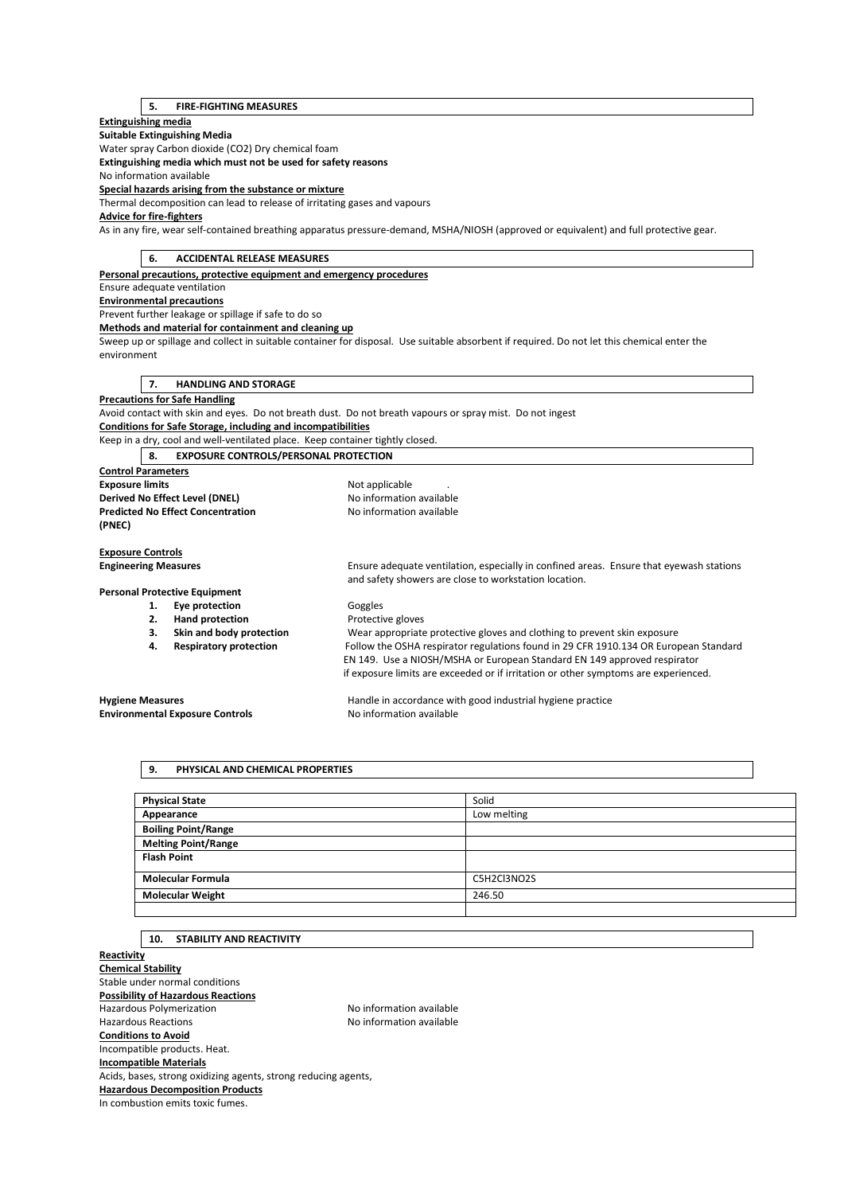## **5. FIRE-FIGHTING MEASURES**

## **Extinguishing media**

**Suitable Extinguishing Media** 

Water spray Carbon dioxide (CO2) Dry chemical foam

**Extinguishing media which must not be used for safety reasons** 

No information available

**Special hazards arising from the substance or mixture** 

Thermal decomposition can lead to release of irritating gases and vapours

#### **Advice for fire-fighters**

As in any fire, wear self-contained breathing apparatus pressure-demand, MSHA/NIOSH (approved or equivalent) and full protective gear.

| <b>ACCIDENTAL RELEASE MEASURES</b><br>6.                                      |                                                                                                                                                  |  |  |
|-------------------------------------------------------------------------------|--------------------------------------------------------------------------------------------------------------------------------------------------|--|--|
| Personal precautions, protective equipment and emergency procedures           |                                                                                                                                                  |  |  |
| Ensure adequate ventilation                                                   |                                                                                                                                                  |  |  |
| <b>Environmental precautions</b>                                              |                                                                                                                                                  |  |  |
| Prevent further leakage or spillage if safe to do so                          |                                                                                                                                                  |  |  |
| Methods and material for containment and cleaning up                          |                                                                                                                                                  |  |  |
|                                                                               | Sweep up or spillage and collect in suitable container for disposal. Use suitable absorbent if required. Do not let this chemical enter the      |  |  |
| environment                                                                   |                                                                                                                                                  |  |  |
|                                                                               |                                                                                                                                                  |  |  |
| <b>HANDLING AND STORAGE</b><br>7.                                             |                                                                                                                                                  |  |  |
| <b>Precautions for Safe Handling</b>                                          |                                                                                                                                                  |  |  |
|                                                                               | Avoid contact with skin and eyes. Do not breath dust. Do not breath vapours or spray mist. Do not ingest                                         |  |  |
| Conditions for Safe Storage, including and incompatibilities                  |                                                                                                                                                  |  |  |
| Keep in a dry, cool and well-ventilated place. Keep container tightly closed. |                                                                                                                                                  |  |  |
| <b>EXPOSURE CONTROLS/PERSONAL PROTECTION</b><br>8.                            |                                                                                                                                                  |  |  |
| <b>Control Parameters</b>                                                     |                                                                                                                                                  |  |  |
| <b>Exposure limits</b>                                                        | Not applicable                                                                                                                                   |  |  |
| Derived No Effect Level (DNEL)                                                | No information available                                                                                                                         |  |  |
| <b>Predicted No Effect Concentration</b><br>(PNEC)                            | No information available                                                                                                                         |  |  |
| <b>Exposure Controls</b>                                                      |                                                                                                                                                  |  |  |
| <b>Engineering Measures</b>                                                   | Ensure adequate ventilation, especially in confined areas. Ensure that eyewash stations<br>and safety showers are close to workstation location. |  |  |
| <b>Personal Protective Equipment</b>                                          |                                                                                                                                                  |  |  |
| Eye protection<br>1.                                                          | Goggles                                                                                                                                          |  |  |
| <b>Hand protection</b><br>2.                                                  | Protective gloves                                                                                                                                |  |  |
| Skin and body protection<br>З.                                                | Wear appropriate protective gloves and clothing to prevent skin exposure                                                                         |  |  |
| <b>Respiratory protection</b><br>4.                                           | Follow the OSHA respirator regulations found in 29 CFR 1910.134 OR European Standard                                                             |  |  |
|                                                                               | EN 149. Use a NIOSH/MSHA or European Standard EN 149 approved respirator                                                                         |  |  |
|                                                                               | if exposure limits are exceeded or if irritation or other symptoms are experienced.                                                              |  |  |
| <b>Hygiene Measures</b>                                                       | Handle in accordance with good industrial hygiene practice                                                                                       |  |  |
| <b>Environmental Exposure Controls</b>                                        | No information available                                                                                                                         |  |  |
|                                                                               |                                                                                                                                                  |  |  |

# **9. PHYSICAL AND CHEMICAL PROPERTIES**

| <b>Physical State</b>      | Solid       |
|----------------------------|-------------|
| Appearance                 | Low melting |
| <b>Boiling Point/Range</b> |             |
| <b>Melting Point/Range</b> |             |
| <b>Flash Point</b>         |             |
| <b>Molecular Formula</b>   | C5H2Cl3NO2S |
| <b>Molecular Weight</b>    | 246.50      |
|                            |             |

### **10. STABILITY AND REACTIVITY**

**Reactivity Chemical Stability**  Stable under normal conditions **Possibility of Hazardous Reactions**  Hazardous Polymerization Noinformation available Hazardous Reactions **No information available Conditions to Avoid**  Incompatible products. Heat. **Incompatible Materials**  Acids, bases, strong oxidizing agents, strong reducing agents, **Hazardous Decomposition Products**  In combustion emits toxic fumes.